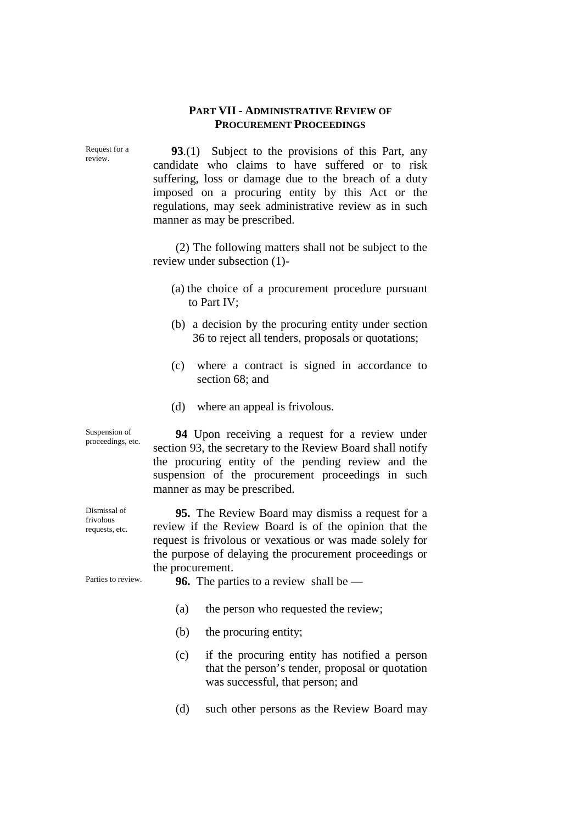## **PART VII - ADMINISTRATIVE REVIEW OF PROCUREMENT PROCEEDINGS**

Request for a review.

**93**.(1) Subject to the provisions of this Part, any candidate who claims to have suffered or to risk suffering, loss or damage due to the breach of a duty imposed on a procuring entity by this Act or the regulations, may seek administrative review as in such manner as may be prescribed.

(2) The following matters shall not be subject to the review under subsection (1)-

- (a) the choice of a procurement procedure pursuant to Part IV;
- (b) a decision by the procuring entity under section 36 to reject all tenders, proposals or quotations;
- (c) where a contract is signed in accordance to section 68; and
- (d) where an appeal is frivolous.

**94** Upon receiving a request for a review under section 93, the secretary to the Review Board shall notify the procuring entity of the pending review and the suspension of the procurement proceedings in such manner as may be prescribed.

**95.** The Review Board may dismiss a request for a review if the Review Board is of the opinion that the request is frivolous or vexatious or was made solely for the purpose of delaying the procurement proceedings or the procurement.

Parties to review. **96.** The parties to a review shall be —

- (a) the person who requested the review;
- (b) the procuring entity;
- (c) if the procuring entity has notified a person that the person's tender, proposal or quotation was successful, that person; and
- (d) such other persons as the Review Board may

Suspension of proceedings, etc.

Dismissal of frivolous requests, etc.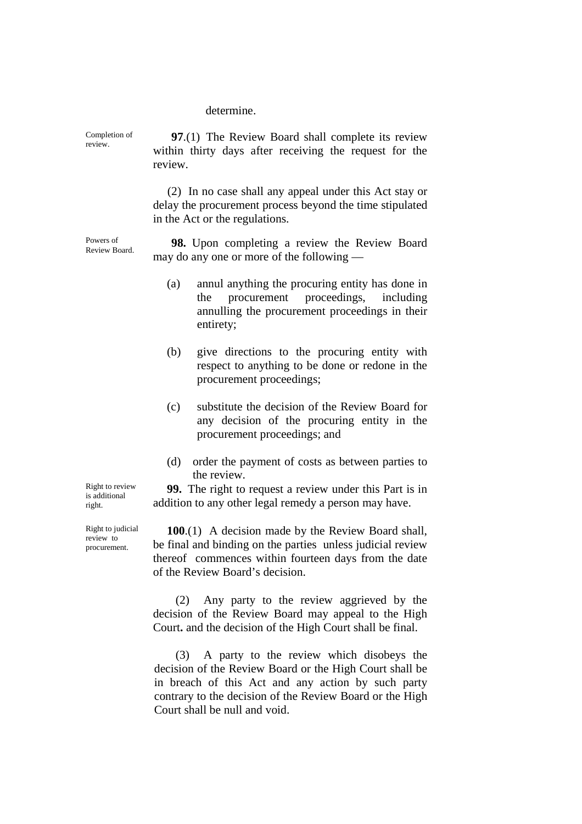determine.

Completion of review. **97**.(1) The Review Board shall complete its review within thirty days after receiving the request for the review. (2) In no case shall any appeal under this Act stay or delay the procurement process beyond the time stipulated in the Act or the regulations. Powers of Review Board. **98.** Upon completing a review the Review Board

may do any one or more of the following —

- (a) annul anything the procuring entity has done in the procurement proceedings, including annulling the procurement proceedings in their entirety;
- (b) give directions to the procuring entity with respect to anything to be done or redone in the procurement proceedings;
- (c) substitute the decision of the Review Board for any decision of the procuring entity in the procurement proceedings; and
- (d) order the payment of costs as between parties to the review.

**99.** The right to request a review under this Part is in addition to any other legal remedy a person may have.

**100**.(1) A decision made by the Review Board shall, be final and binding on the parties unless judicial review thereof commences within fourteen days from the date of the Review Board's decision.

(2) Any party to the review aggrieved by the decision of the Review Board may appeal to the High Court**.** and the decision of the High Court shall be final.

(3) A party to the review which disobeys the decision of the Review Board or the High Court shall be in breach of this Act and any action by such party contrary to the decision of the Review Board or the High Court shall be null and void.

Right to review is additional right.

Right to judicial review to procurement.